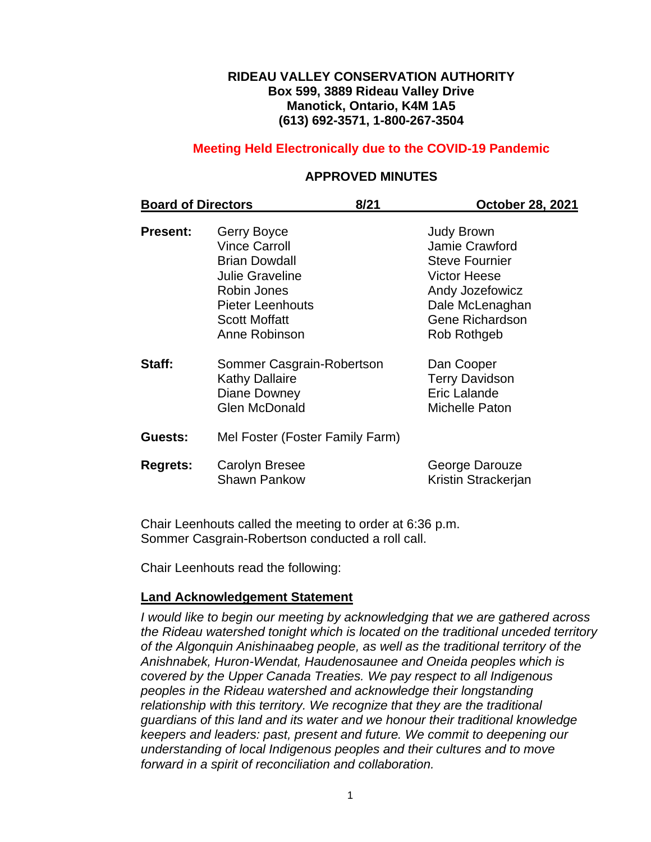### **RIDEAU VALLEY CONSERVATION AUTHORITY Box 599, 3889 Rideau Valley Drive Manotick, Ontario, K4M 1A5 (613) 692-3571, 1-800-267-3504**

## **Meeting Held Electronically due to the COVID-19 Pandemic**

### **APPROVED MINUTES**

| <b>Board of Directors</b> |                                                                                                                                                                          | 8/21 | <b>October 28, 2021</b>                                                                                                                                     |
|---------------------------|--------------------------------------------------------------------------------------------------------------------------------------------------------------------------|------|-------------------------------------------------------------------------------------------------------------------------------------------------------------|
| <b>Present:</b>           | Gerry Boyce<br><b>Vince Carroll</b><br><b>Brian Dowdall</b><br><b>Julie Graveline</b><br>Robin Jones<br><b>Pieter Leenhouts</b><br><b>Scott Moffatt</b><br>Anne Robinson |      | <b>Judy Brown</b><br>Jamie Crawford<br><b>Steve Fournier</b><br><b>Victor Heese</b><br>Andy Jozefowicz<br>Dale McLenaghan<br>Gene Richardson<br>Rob Rothgeb |
| Staff:                    | Sommer Casgrain-Robertson<br><b>Kathy Dallaire</b><br>Diane Downey<br><b>Glen McDonald</b>                                                                               |      | Dan Cooper<br><b>Terry Davidson</b><br>Eric Lalande<br>Michelle Paton                                                                                       |
| Guests:                   | Mel Foster (Foster Family Farm)                                                                                                                                          |      |                                                                                                                                                             |
| <b>Regrets:</b>           | Carolyn Bresee<br><b>Shawn Pankow</b>                                                                                                                                    |      | George Darouze<br>Kristin Strackerjan                                                                                                                       |

Chair Leenhouts called the meeting to order at 6:36 p.m. Sommer Casgrain-Robertson conducted a roll call.

Chair Leenhouts read the following:

### **Land Acknowledgement Statement**

*I would like to begin our meeting by acknowledging that we are gathered across the Rideau watershed tonight which is located on the traditional unceded territory of the Algonquin Anishinaabeg people, as well as the traditional territory of the Anishnabek, Huron-Wendat, Haudenosaunee and Oneida peoples which is covered by the Upper Canada Treaties. We pay respect to all Indigenous peoples in the Rideau watershed and acknowledge their longstanding relationship with this territory. We recognize that they are the traditional guardians of this land and its water and we honour their traditional knowledge keepers and leaders: past, present and future. We commit to deepening our understanding of local Indigenous peoples and their cultures and to move forward in a spirit of reconciliation and collaboration.*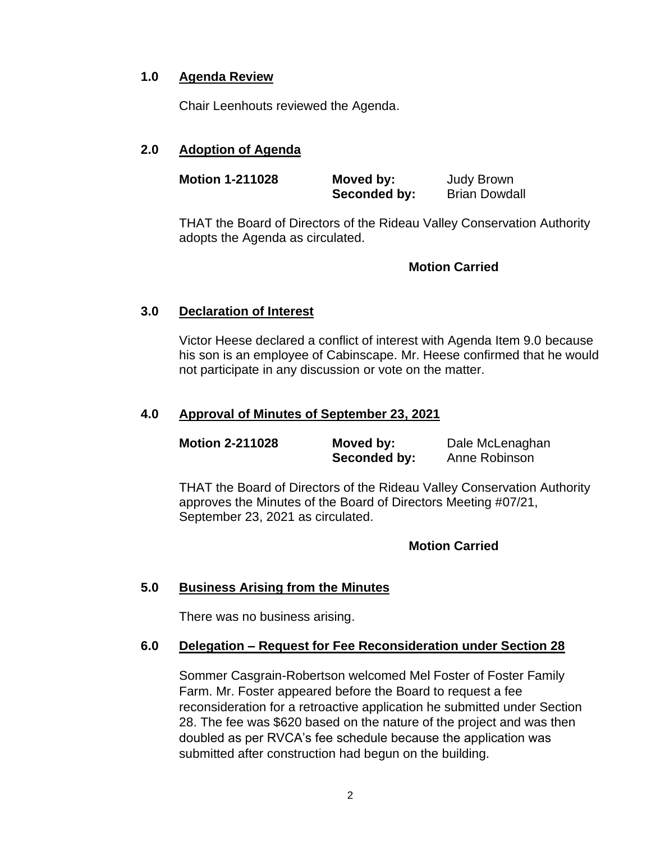## **1.0 Agenda Review**

Chair Leenhouts reviewed the Agenda.

## **2.0 Adoption of Agenda**

| <b>Motion 1-211028</b> | Moved by:    | <b>Judy Brown</b>    |
|------------------------|--------------|----------------------|
|                        | Seconded by: | <b>Brian Dowdall</b> |

THAT the Board of Directors of the Rideau Valley Conservation Authority adopts the Agenda as circulated.

### **Motion Carried**

## **3.0 Declaration of Interest**

Victor Heese declared a conflict of interest with Agenda Item 9.0 because his son is an employee of Cabinscape. Mr. Heese confirmed that he would not participate in any discussion or vote on the matter.

### **4.0 Approval of Minutes of September 23, 2021**

| <b>Motion 2-211028</b> | Moved by:    | Dale McLenaghan |
|------------------------|--------------|-----------------|
|                        | Seconded by: | Anne Robinson   |

THAT the Board of Directors of the Rideau Valley Conservation Authority approves the Minutes of the Board of Directors Meeting #07/21, September 23, 2021 as circulated.

## **Motion Carried**

### **5.0 Business Arising from the Minutes**

There was no business arising.

### **6.0 Delegation – Request for Fee Reconsideration under Section 28**

Sommer Casgrain-Robertson welcomed Mel Foster of Foster Family Farm. Mr. Foster appeared before the Board to request a fee reconsideration for a retroactive application he submitted under Section 28. The fee was \$620 based on the nature of the project and was then doubled as per RVCA's fee schedule because the application was submitted after construction had begun on the building.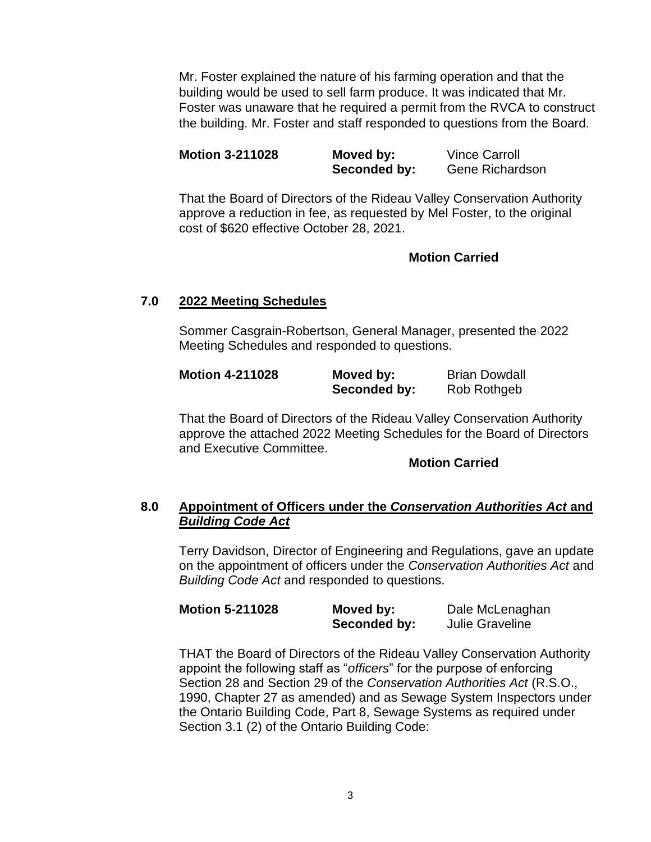Mr. Foster explained the nature of his farming operation and that the building would be used to sell farm produce. It was indicated that Mr. Foster was unaware that he required a permit from the RVCA to construct the building. Mr. Foster and staff responded to questions from the Board.

| <b>Motion 3-211028</b> | Moved by:    | <b>Vince Carroll</b> |
|------------------------|--------------|----------------------|
|                        | Seconded by: | Gene Richardson      |

That the Board of Directors of the Rideau Valley Conservation Authority approve a reduction in fee, as requested by Mel Foster, to the original cost of \$620 effective October 28, 2021.

## **Motion Carried**

## **7.0 2022 Meeting Schedules**

Sommer Casgrain-Robertson, General Manager, presented the 2022 Meeting Schedules and responded to questions.

| <b>Motion 4-211028</b> | Moved by:    | <b>Brian Dowdall</b> |
|------------------------|--------------|----------------------|
|                        | Seconded by: | Rob Rothgeb          |

That the Board of Directors of the Rideau Valley Conservation Authority approve the attached 2022 Meeting Schedules for the Board of Directors and Executive Committee.

### **Motion Carried**

## **8.0 Appointment of Officers under the** *Conservation Authorities Act* **and** *Building Code Act*

Terry Davidson, Director of Engineering and Regulations, gave an update on the appointment of officers under the *Conservation Authorities Act* and *Building Code Act* and responded to questions.

| <b>Motion 5-211028</b> | Moved by:    | Dale McLenaghan        |
|------------------------|--------------|------------------------|
|                        | Seconded by: | <b>Julie Graveline</b> |

THAT the Board of Directors of the Rideau Valley Conservation Authority appoint the following staff as "*officers*" for the purpose of enforcing Section 28 and Section 29 of the *Conservation Authorities Act* (R.S.O., 1990, Chapter 27 as amended) and as Sewage System Inspectors under the Ontario Building Code, Part 8, Sewage Systems as required under Section 3.1 (2) of the Ontario Building Code: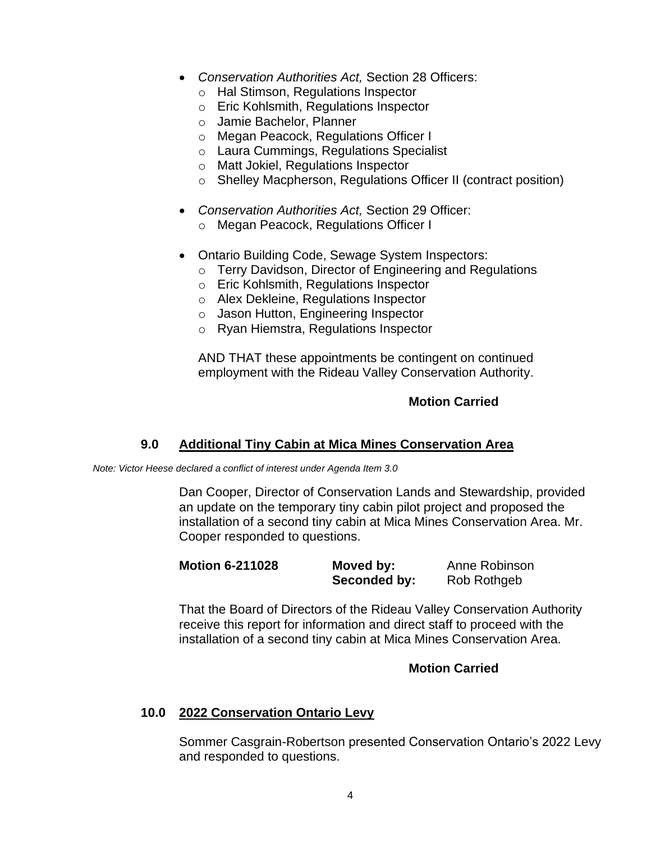- *Conservation Authorities Act,* Section 28 Officers:
	- o Hal Stimson, Regulations Inspector
	- o Eric Kohlsmith, Regulations Inspector
	- o Jamie Bachelor, Planner
	- o Megan Peacock, Regulations Officer I
	- o Laura Cummings, Regulations Specialist
	- o Matt Jokiel, Regulations Inspector
	- o Shelley Macpherson, Regulations Officer II (contract position)
- *Conservation Authorities Act,* Section 29 Officer:
	- o Megan Peacock, Regulations Officer I
- Ontario Building Code, Sewage System Inspectors:
	- o Terry Davidson, Director of Engineering and Regulations
	- o Eric Kohlsmith, Regulations Inspector
	- o Alex Dekleine, Regulations Inspector
	- o Jason Hutton, Engineering Inspector
	- o Ryan Hiemstra, Regulations Inspector

AND THAT these appointments be contingent on continued employment with the Rideau Valley Conservation Authority.

### **Motion Carried**

## **9.0 Additional Tiny Cabin at Mica Mines Conservation Area**

*Note: Victor Heese declared a conflict of interest under Agenda Item 3.0*

Dan Cooper, Director of Conservation Lands and Stewardship, provided an update on the temporary tiny cabin pilot project and proposed the installation of a second tiny cabin at Mica Mines Conservation Area. Mr. Cooper responded to questions.

| <b>Motion 6-211028</b> | Moved by:    | Anne Robinson |
|------------------------|--------------|---------------|
|                        | Seconded by: | Rob Rothgeb   |

That the Board of Directors of the Rideau Valley Conservation Authority receive this report for information and direct staff to proceed with the installation of a second tiny cabin at Mica Mines Conservation Area.

### **Motion Carried**

## **10.0 2022 Conservation Ontario Levy**

Sommer Casgrain-Robertson presented Conservation Ontario's 2022 Levy and responded to questions.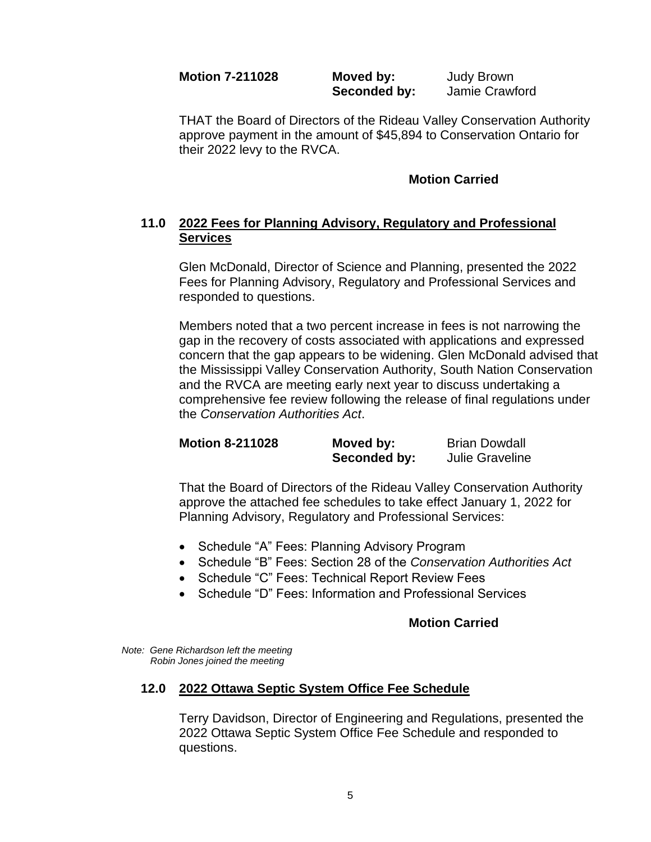**Motion 7-211028 Moved by:** Judy Brown **Seconded by:** Jamie Crawford

THAT the Board of Directors of the Rideau Valley Conservation Authority approve payment in the amount of \$45,894 to Conservation Ontario for their 2022 levy to the RVCA.

### **Motion Carried**

## **11.0 2022 Fees for Planning Advisory, Regulatory and Professional Services**

Glen McDonald, Director of Science and Planning, presented the 2022 Fees for Planning Advisory, Regulatory and Professional Services and responded to questions.

Members noted that a two percent increase in fees is not narrowing the gap in the recovery of costs associated with applications and expressed concern that the gap appears to be widening. Glen McDonald advised that the Mississippi Valley Conservation Authority, South Nation Conservation and the RVCA are meeting early next year to discuss undertaking a comprehensive fee review following the release of final regulations under the *Conservation Authorities Act*.

| <b>Motion 8-211028</b> | Moved by:    | <b>Brian Dowdall</b>   |
|------------------------|--------------|------------------------|
|                        | Seconded by: | <b>Julie Graveline</b> |

That the Board of Directors of the Rideau Valley Conservation Authority approve the attached fee schedules to take effect January 1, 2022 for Planning Advisory, Regulatory and Professional Services:

- Schedule "A" Fees: Planning Advisory Program
- Schedule "B" Fees: Section 28 of the *Conservation Authorities Act*
- Schedule "C" Fees: Technical Report Review Fees
- Schedule "D" Fees: Information and Professional Services

### **Motion Carried**

*Note: Gene Richardson left the meeting Robin Jones joined the meeting*

## **12.0 2022 Ottawa Septic System Office Fee Schedule**

Terry Davidson, Director of Engineering and Regulations, presented the 2022 Ottawa Septic System Office Fee Schedule and responded to questions.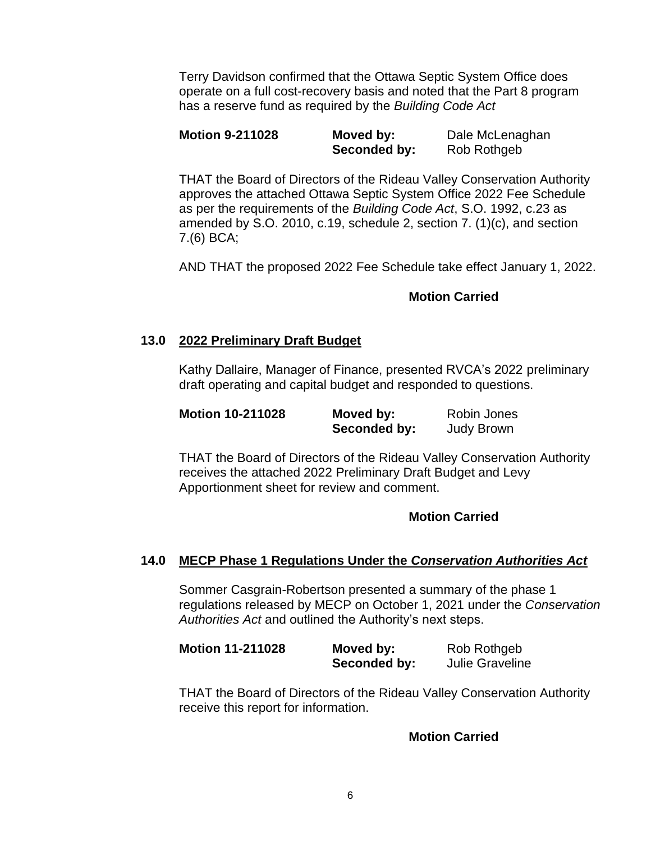Terry Davidson confirmed that the Ottawa Septic System Office does operate on a full cost-recovery basis and noted that the Part 8 program has a reserve fund as required by the *Building Code Act*

| <b>Motion 9-211028</b> | Moved by:    | Dale McLenaghan |
|------------------------|--------------|-----------------|
|                        | Seconded by: | Rob Rothgeb     |

THAT the Board of Directors of the Rideau Valley Conservation Authority approves the attached Ottawa Septic System Office 2022 Fee Schedule as per the requirements of the *Building Code Act*, S.O. 1992, c.23 as amended by S.O. 2010, c.19, schedule 2, section 7. (1)(c), and section 7.(6) BCA;

AND THAT the proposed 2022 Fee Schedule take effect January 1, 2022.

# **Motion Carried**

# **13.0 2022 Preliminary Draft Budget**

Kathy Dallaire, Manager of Finance, presented RVCA's 2022 preliminary draft operating and capital budget and responded to questions.

| <b>Motion 10-211028</b> | Moved by:    | Robin Jones |
|-------------------------|--------------|-------------|
|                         | Seconded by: | Judy Brown  |

THAT the Board of Directors of the Rideau Valley Conservation Authority receives the attached 2022 Preliminary Draft Budget and Levy Apportionment sheet for review and comment.

## **Motion Carried**

## **14.0 MECP Phase 1 Regulations Under the** *Conservation Authorities Act*

Sommer Casgrain-Robertson presented a summary of the phase 1 regulations released by MECP on October 1, 2021 under the *Conservation Authorities Act* and outlined the Authority's next steps.

| <b>Motion 11-211028</b> | Moved by:    | Rob Rothgeb            |
|-------------------------|--------------|------------------------|
|                         | Seconded by: | <b>Julie Graveline</b> |

THAT the Board of Directors of the Rideau Valley Conservation Authority receive this report for information.

## **Motion Carried**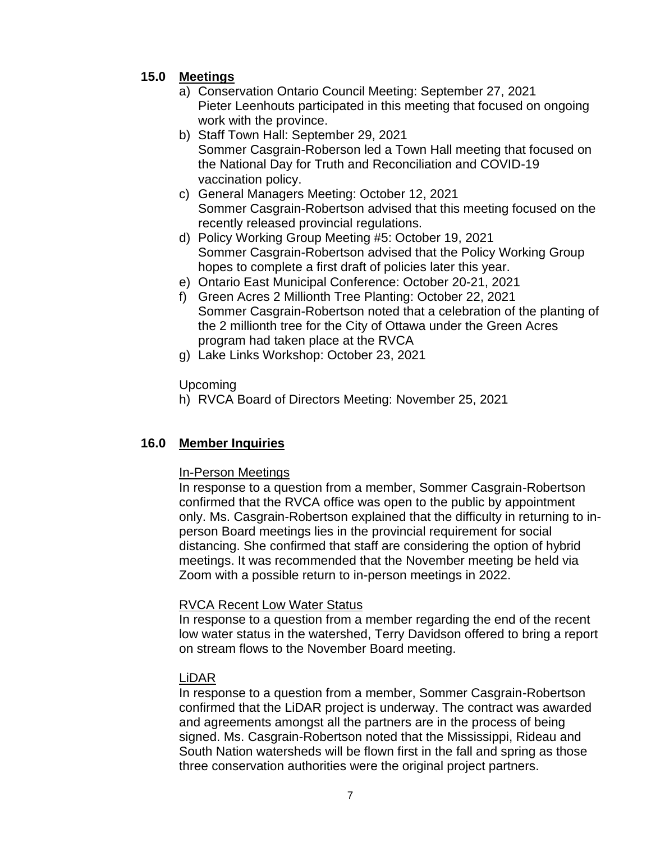# **15.0 Meetings**

- a) Conservation Ontario Council Meeting: September 27, 2021 Pieter Leenhouts participated in this meeting that focused on ongoing work with the province.
- b) Staff Town Hall: September 29, 2021 Sommer Casgrain-Roberson led a Town Hall meeting that focused on the National Day for Truth and Reconciliation and COVID-19 vaccination policy.
- c) General Managers Meeting: October 12, 2021 Sommer Casgrain-Robertson advised that this meeting focused on the recently released provincial regulations.
- d) Policy Working Group Meeting #5: October 19, 2021 Sommer Casgrain-Robertson advised that the Policy Working Group hopes to complete a first draft of policies later this year.
- e) Ontario East Municipal Conference: October 20-21, 2021
- f) Green Acres 2 Millionth Tree Planting: October 22, 2021 Sommer Casgrain-Robertson noted that a celebration of the planting of the 2 millionth tree for the City of Ottawa under the Green Acres program had taken place at the RVCA
- g) Lake Links Workshop: October 23, 2021

## Upcoming

h) RVCA Board of Directors Meeting: November 25, 2021

# **16.0 Member Inquiries**

## In-Person Meetings

In response to a question from a member, Sommer Casgrain-Robertson confirmed that the RVCA office was open to the public by appointment only. Ms. Casgrain-Robertson explained that the difficulty in returning to inperson Board meetings lies in the provincial requirement for social distancing. She confirmed that staff are considering the option of hybrid meetings. It was recommended that the November meeting be held via Zoom with a possible return to in-person meetings in 2022.

## RVCA Recent Low Water Status

In response to a question from a member regarding the end of the recent low water status in the watershed, Terry Davidson offered to bring a report on stream flows to the November Board meeting.

## LiDAR

In response to a question from a member, Sommer Casgrain-Robertson confirmed that the LiDAR project is underway. The contract was awarded and agreements amongst all the partners are in the process of being signed. Ms. Casgrain-Robertson noted that the Mississippi, Rideau and South Nation watersheds will be flown first in the fall and spring as those three conservation authorities were the original project partners.